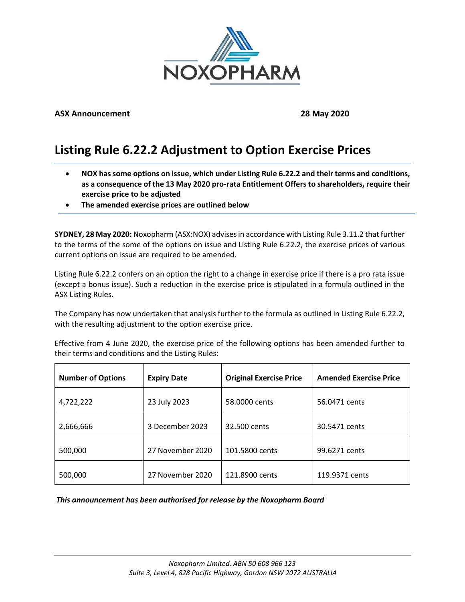

## **ASX Announcement 28 May 2020**

# **Listing Rule 6.22.2 Adjustment to Option Exercise Prices**

- **NOX has some options on issue, which under Listing Rule 6.22.2 and their terms and conditions, as a consequence of the 13 May 2020 pro-rata Entitlement Offers to shareholders, require their exercise price to be adjusted**
- **The amended exercise prices are outlined below**

**SYDNEY, 28 May 2020:** Noxopharm (ASX:NOX) advises in accordance with Listing Rule 3.11.2 that further to the terms of the some of the options on issue and Listing Rule 6.22.2, the exercise prices of various current options on issue are required to be amended.

Listing Rule 6.22.2 confers on an option the right to a change in exercise price if there is a pro rata issue (except a bonus issue). Such a reduction in the exercise price is stipulated in a formula outlined in the ASX Listing Rules.

The Company has now undertaken that analysis further to the formula as outlined in Listing Rule 6.22.2, with the resulting adjustment to the option exercise price.

Effective from 4 June 2020, the exercise price of the following options has been amended further to their terms and conditions and the Listing Rules:

| <b>Number of Options</b> | <b>Expiry Date</b> | <b>Original Exercise Price</b> | <b>Amended Exercise Price</b> |
|--------------------------|--------------------|--------------------------------|-------------------------------|
| 4,722,222                | 23 July 2023       | 58.0000 cents                  | 56.0471 cents                 |
| 2,666,666                | 3 December 2023    | 32.500 cents                   | 30.5471 cents                 |
| 500,000                  | 27 November 2020   | 101.5800 cents                 | 99.6271 cents                 |
| 500,000                  | 27 November 2020   | 121.8900 cents                 | 119.9371 cents                |

### *This announcement has been authorised for release by the Noxopharm Board*